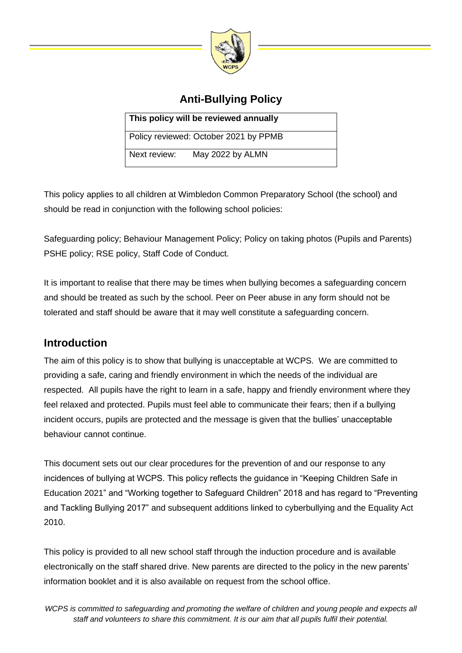

# **Anti-Bullying Policy**

| This policy will be reviewed annually |                                       |
|---------------------------------------|---------------------------------------|
|                                       | Policy reviewed: October 2021 by PPMB |
| Next review:                          | May 2022 by ALMN                      |

This policy applies to all children at Wimbledon Common Preparatory School (the school) and should be read in conjunction with the following school policies:

Safeguarding policy; Behaviour Management Policy; Policy on taking photos (Pupils and Parents) PSHE policy; RSE policy, Staff Code of Conduct.

It is important to realise that there may be times when bullying becomes a safeguarding concern and should be treated as such by the school. Peer on Peer abuse in any form should not be tolerated and staff should be aware that it may well constitute a safeguarding concern.

## **Introduction**

The aim of this policy is to show that bullying is unacceptable at WCPS. We are committed to providing a safe, caring and friendly environment in which the needs of the individual are respected. All pupils have the right to learn in a safe, happy and friendly environment where they feel relaxed and protected. Pupils must feel able to communicate their fears; then if a bullying incident occurs, pupils are protected and the message is given that the bullies' unacceptable behaviour cannot continue.

This document sets out our clear procedures for the prevention of and our response to any incidences of bullying at WCPS. This policy reflects the guidance in "Keeping Children Safe in Education 2021" and "Working together to Safeguard Children" 2018 and has regard to "Preventing and Tackling Bullying 2017" and subsequent additions linked to cyberbullying and the Equality Act 2010.

This policy is provided to all new school staff through the induction procedure and is available electronically on the staff shared drive. New parents are directed to the policy in the new parents' information booklet and it is also available on request from the school office.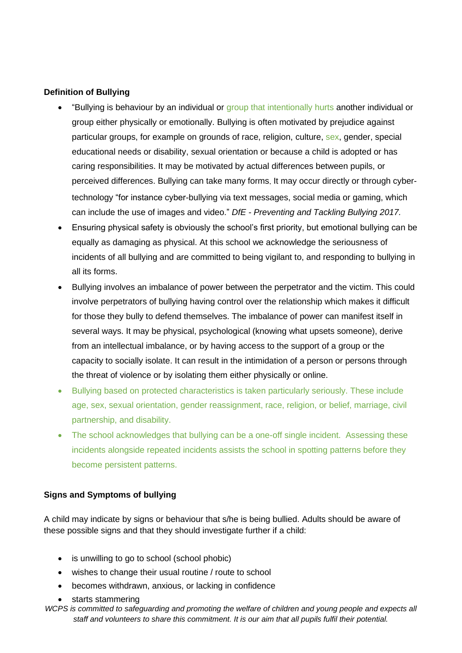#### **Definition of Bullying**

- "Bullying is behaviour by an individual or group that intentionally hurts another individual or group either physically or emotionally. Bullying is often motivated by prejudice against particular groups, for example on grounds of race, religion, culture, sex, gender, special educational needs or disability, sexual orientation or because a child is adopted or has caring responsibilities. It may be motivated by actual differences between pupils, or perceived differences. Bullying can take many forms It may occur directly or through cybertechnology "for instance cyber-bullying via text messages, social media or gaming, which can include the use of images and video." *DfE - Preventing and Tackling Bullying 2017.*
- Ensuring physical safety is obviously the school's first priority, but emotional bullying can be equally as damaging as physical. At this school we acknowledge the seriousness of incidents of all bullying and are committed to being vigilant to, and responding to bullying in all its forms.
- Bullying involves an imbalance of power between the perpetrator and the victim. This could involve perpetrators of bullying having control over the relationship which makes it difficult for those they bully to defend themselves. The imbalance of power can manifest itself in several ways. It may be physical, psychological (knowing what upsets someone), derive from an intellectual imbalance, or by having access to the support of a group or the capacity to socially isolate. It can result in the intimidation of a person or persons through the threat of violence or by isolating them either physically or online.
- Bullying based on protected characteristics is taken particularly seriously. These include age, sex, sexual orientation, gender reassignment, race, religion, or belief, marriage, civil partnership, and disability.
- The school acknowledges that bullying can be a one-off single incident. Assessing these incidents alongside repeated incidents assists the school in spotting patterns before they become persistent patterns.

## **Signs and Symptoms of bullying**

A child may indicate by signs or behaviour that s/he is being bullied. Adults should be aware of these possible signs and that they should investigate further if a child:

- is unwilling to go to school (school phobic)
- wishes to change their usual routine / route to school
- becomes withdrawn, anxious, or lacking in confidence
- starts stammering
- *WCPS is committed to safeguarding and promoting the welfare of children and young people and expects all staff and volunteers to share this commitment. It is our aim that all pupils fulfil their potential.*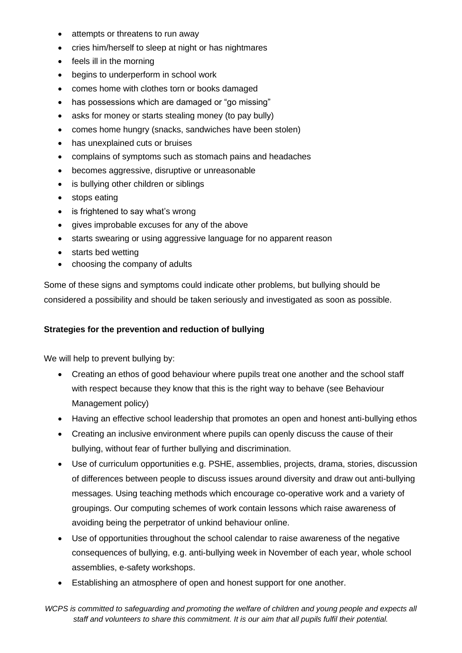- attempts or threatens to run away
- cries him/herself to sleep at night or has nightmares
- feels ill in the morning
- begins to underperform in school work
- comes home with clothes torn or books damaged
- has possessions which are damaged or "go missing"
- asks for money or starts stealing money (to pay bully)
- comes home hungry (snacks, sandwiches have been stolen)
- has unexplained cuts or bruises
- complains of symptoms such as stomach pains and headaches
- becomes aggressive, disruptive or unreasonable
- is bullying other children or siblings
- stops eating
- is frightened to say what's wrong
- gives improbable excuses for any of the above
- starts swearing or using aggressive language for no apparent reason
- starts bed wetting
- choosing the company of adults

Some of these signs and symptoms could indicate other problems, but bullying should be considered a possibility and should be taken seriously and investigated as soon as possible.

### **Strategies for the prevention and reduction of bullying**

We will help to prevent bullying by:

- Creating an ethos of good behaviour where pupils treat one another and the school staff with respect because they know that this is the right way to behave (see Behaviour Management policy)
- Having an effective school leadership that promotes an open and honest anti-bullying ethos
- Creating an inclusive environment where pupils can openly discuss the cause of their bullying, without fear of further bullying and discrimination.
- Use of curriculum opportunities e.g. PSHE, assemblies, projects, drama, stories, discussion of differences between people to discuss issues around diversity and draw out anti-bullying messages. Using teaching methods which encourage co-operative work and a variety of groupings. Our computing schemes of work contain lessons which raise awareness of avoiding being the perpetrator of unkind behaviour online.
- Use of opportunities throughout the school calendar to raise awareness of the negative consequences of bullying, e.g. anti-bullying week in November of each year, whole school assemblies, e-safety workshops.
- Establishing an atmosphere of open and honest support for one another.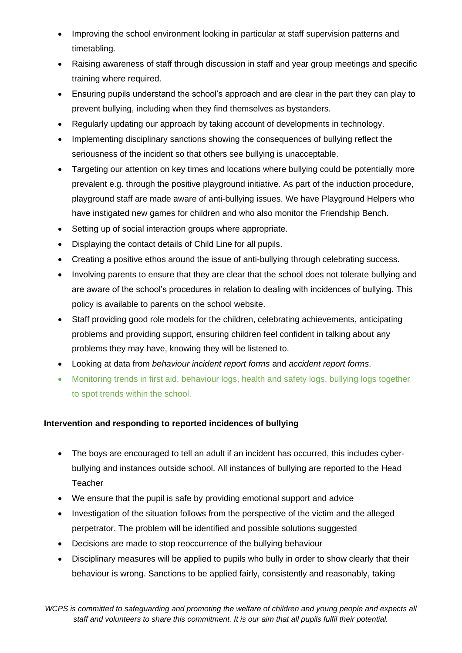- Improving the school environment looking in particular at staff supervision patterns and timetabling.
- Raising awareness of staff through discussion in staff and year group meetings and specific training where required.
- Ensuring pupils understand the school's approach and are clear in the part they can play to prevent bullying, including when they find themselves as bystanders.
- Regularly updating our approach by taking account of developments in technology.
- Implementing disciplinary sanctions showing the consequences of bullying reflect the seriousness of the incident so that others see bullying is unacceptable.
- Targeting our attention on key times and locations where bullying could be potentially more prevalent e.g. through the positive playground initiative. As part of the induction procedure, playground staff are made aware of anti-bullying issues. We have Playground Helpers who have instigated new games for children and who also monitor the Friendship Bench.
- Setting up of social interaction groups where appropriate.
- Displaying the contact details of Child Line for all pupils.
- Creating a positive ethos around the issue of anti-bullying through celebrating success.
- Involving parents to ensure that they are clear that the school does not tolerate bullying and are aware of the school's procedures in relation to dealing with incidences of bullying. This policy is available to parents on the school website.
- Staff providing good role models for the children, celebrating achievements, anticipating problems and providing support, ensuring children feel confident in talking about any problems they may have, knowing they will be listened to.
- Looking at data from *behaviour incident report forms* and *accident report forms*.
- Monitoring trends in first aid, behaviour logs, health and safety logs, bullying logs together to spot trends within the school.

## **Intervention and responding to reported incidences of bullying**

- The boys are encouraged to tell an adult if an incident has occurred, this includes cyberbullying and instances outside school. All instances of bullying are reported to the Head **Teacher**
- We ensure that the pupil is safe by providing emotional support and advice
- Investigation of the situation follows from the perspective of the victim and the alleged perpetrator. The problem will be identified and possible solutions suggested
- Decisions are made to stop reoccurrence of the bullying behaviour
- Disciplinary measures will be applied to pupils who bully in order to show clearly that their behaviour is wrong. Sanctions to be applied fairly, consistently and reasonably, taking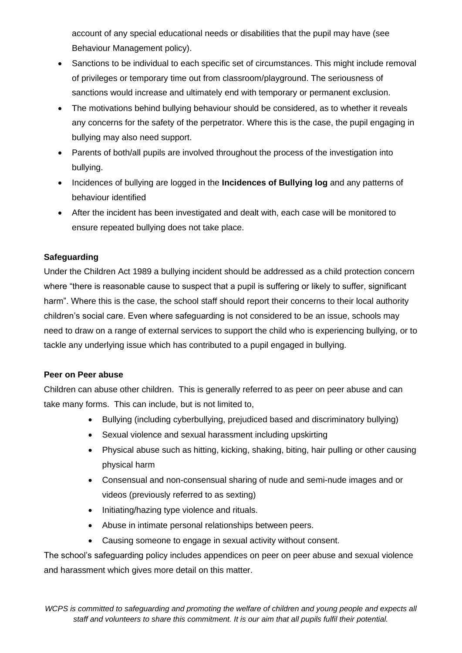account of any special educational needs or disabilities that the pupil may have (see Behaviour Management policy).

- Sanctions to be individual to each specific set of circumstances. This might include removal of privileges or temporary time out from classroom/playground. The seriousness of sanctions would increase and ultimately end with temporary or permanent exclusion.
- The motivations behind bullying behaviour should be considered, as to whether it reveals any concerns for the safety of the perpetrator. Where this is the case, the pupil engaging in bullying may also need support.
- Parents of both/all pupils are involved throughout the process of the investigation into bullying.
- Incidences of bullying are logged in the **Incidences of Bullying log** and any patterns of behaviour identified
- After the incident has been investigated and dealt with, each case will be monitored to ensure repeated bullying does not take place.

## **Safeguarding**

Under the Children Act 1989 a bullying incident should be addressed as a child protection concern where "there is reasonable cause to suspect that a pupil is suffering or likely to suffer, significant harm". Where this is the case, the school staff should report their concerns to their local authority children's social care. Even where safeguarding is not considered to be an issue, schools may need to draw on a range of external services to support the child who is experiencing bullying, or to tackle any underlying issue which has contributed to a pupil engaged in bullying.

## **Peer on Peer abuse**

Children can abuse other children. This is generally referred to as peer on peer abuse and can take many forms. This can include, but is not limited to,

- Bullying (including cyberbullying, prejudiced based and discriminatory bullying)
- Sexual violence and sexual harassment including upskirting
- Physical abuse such as hitting, kicking, shaking, biting, hair pulling or other causing physical harm
- Consensual and non-consensual sharing of nude and semi-nude images and or videos (previously referred to as sexting)
- Initiating/hazing type violence and rituals.
- Abuse in intimate personal relationships between peers.
- Causing someone to engage in sexual activity without consent.

The school's safeguarding policy includes appendices on peer on peer abuse and sexual violence and harassment which gives more detail on this matter.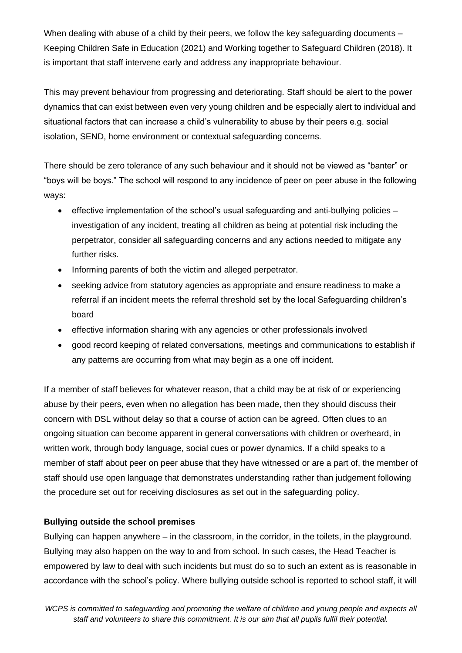When dealing with abuse of a child by their peers, we follow the key safeguarding documents – Keeping Children Safe in Education (2021) and Working together to Safeguard Children (2018). It is important that staff intervene early and address any inappropriate behaviour.

This may prevent behaviour from progressing and deteriorating. Staff should be alert to the power dynamics that can exist between even very young children and be especially alert to individual and situational factors that can increase a child's vulnerability to abuse by their peers e.g. social isolation, SEND, home environment or contextual safeguarding concerns.

There should be zero tolerance of any such behaviour and it should not be viewed as "banter" or "boys will be boys." The school will respond to any incidence of peer on peer abuse in the following ways:

- effective implementation of the school's usual safeguarding and anti-bullying policies investigation of any incident, treating all children as being at potential risk including the perpetrator, consider all safeguarding concerns and any actions needed to mitigate any further risks.
- Informing parents of both the victim and alleged perpetrator.
- seeking advice from statutory agencies as appropriate and ensure readiness to make a referral if an incident meets the referral threshold set by the local Safeguarding children's board
- effective information sharing with any agencies or other professionals involved
- good record keeping of related conversations, meetings and communications to establish if any patterns are occurring from what may begin as a one off incident.

If a member of staff believes for whatever reason, that a child may be at risk of or experiencing abuse by their peers, even when no allegation has been made, then they should discuss their concern with DSL without delay so that a course of action can be agreed. Often clues to an ongoing situation can become apparent in general conversations with children or overheard, in written work, through body language, social cues or power dynamics. If a child speaks to a member of staff about peer on peer abuse that they have witnessed or are a part of, the member of staff should use open language that demonstrates understanding rather than judgement following the procedure set out for receiving disclosures as set out in the safeguarding policy.

#### **Bullying outside the school premises**

Bullying can happen anywhere – in the classroom, in the corridor, in the toilets, in the playground. Bullying may also happen on the way to and from school. In such cases, the Head Teacher is empowered by law to deal with such incidents but must do so to such an extent as is reasonable in accordance with the school's policy. Where bullying outside school is reported to school staff, it will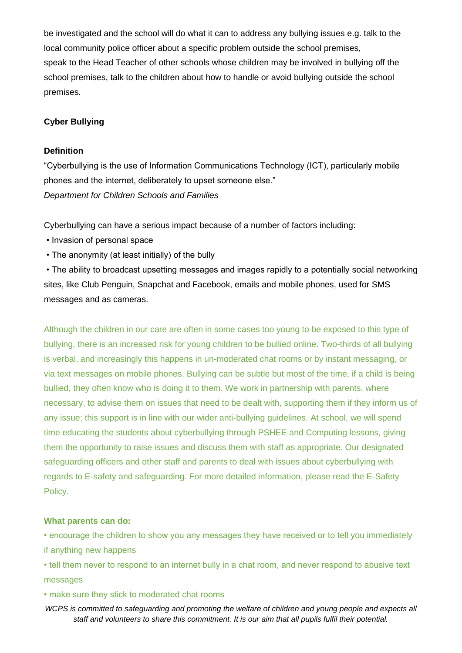be investigated and the school will do what it can to address any bullying issues e.g. talk to the local community police officer about a specific problem outside the school premises, speak to the Head Teacher of other schools whose children may be involved in bullying off the school premises, talk to the children about how to handle or avoid bullying outside the school premises.

#### **Cyber Bullying**

#### **Definition**

"Cyberbullying is the use of Information Communications Technology (ICT), particularly mobile phones and the internet, deliberately to upset someone else." *Department for Children Schools and Families* 

Cyberbullying can have a serious impact because of a number of factors including:

- Invasion of personal space
- The anonymity (at least initially) of the bully

• The ability to broadcast upsetting messages and images rapidly to a potentially social networking sites, like Club Penguin, Snapchat and Facebook, emails and mobile phones, used for SMS messages and as cameras.

Although the children in our care are often in some cases too young to be exposed to this type of bullying, there is an increased risk for young children to be bullied online. Two-thirds of all bullying is verbal, and increasingly this happens in un-moderated chat rooms or by instant messaging, or via text messages on mobile phones. Bullying can be subtle but most of the time, if a child is being bullied, they often know who is doing it to them. We work in partnership with parents, where necessary, to advise them on issues that need to be dealt with, supporting them if they inform us of any issue; this support is in line with our wider anti-bullying guidelines. At school, we will spend time educating the students about cyberbullying through PSHEE and Computing lessons, giving them the opportunity to raise issues and discuss them with staff as appropriate. Our designated safeguarding officers and other staff and parents to deal with issues about cyberbullying with regards to E-safety and safeguarding. For more detailed information, please read the E-Safety Policy.

#### **What parents can do:**

• encourage the children to show you any messages they have received or to tell you immediately if anything new happens

• tell them never to respond to an internet bully in a chat room, and never respond to abusive text messages

• make sure they stick to moderated chat rooms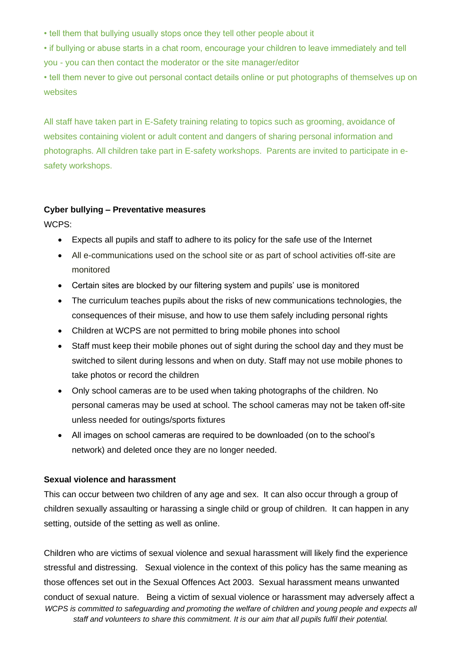• tell them that bullying usually stops once they tell other people about it

• if bullying or abuse starts in a chat room, encourage your children to leave immediately and tell you - you can then contact the moderator or the site manager/editor

• tell them never to give out personal contact details online or put photographs of themselves up on websites

All staff have taken part in E-Safety training relating to topics such as grooming, avoidance of websites containing violent or adult content and dangers of sharing personal information and photographs. All children take part in E-safety workshops. Parents are invited to participate in esafety workshops.

#### **Cyber bullying – Preventative measures**

WCPS:

- Expects all pupils and staff to adhere to its policy for the safe use of the Internet
- All e-communications used on the school site or as part of school activities off-site are monitored
- Certain sites are blocked by our filtering system and pupils' use is monitored
- The curriculum teaches pupils about the risks of new communications technologies, the consequences of their misuse, and how to use them safely including personal rights
- Children at WCPS are not permitted to bring mobile phones into school
- Staff must keep their mobile phones out of sight during the school day and they must be switched to silent during lessons and when on duty. Staff may not use mobile phones to take photos or record the children
- Only school cameras are to be used when taking photographs of the children. No personal cameras may be used at school. The school cameras may not be taken off-site unless needed for outings/sports fixtures
- All images on school cameras are required to be downloaded (on to the school's network) and deleted once they are no longer needed.

## **Sexual violence and harassment**

This can occur between two children of any age and sex. It can also occur through a group of children sexually assaulting or harassing a single child or group of children. It can happen in any setting, outside of the setting as well as online.

*WCPS is committed to safeguarding and promoting the welfare of children and young people and expects all staff and volunteers to share this commitment. It is our aim that all pupils fulfil their potential.* Children who are victims of sexual violence and sexual harassment will likely find the experience stressful and distressing. Sexual violence in the context of this policy has the same meaning as those offences set out in the Sexual Offences Act 2003. Sexual harassment means unwanted conduct of sexual nature. Being a victim of sexual violence or harassment may adversely affect a